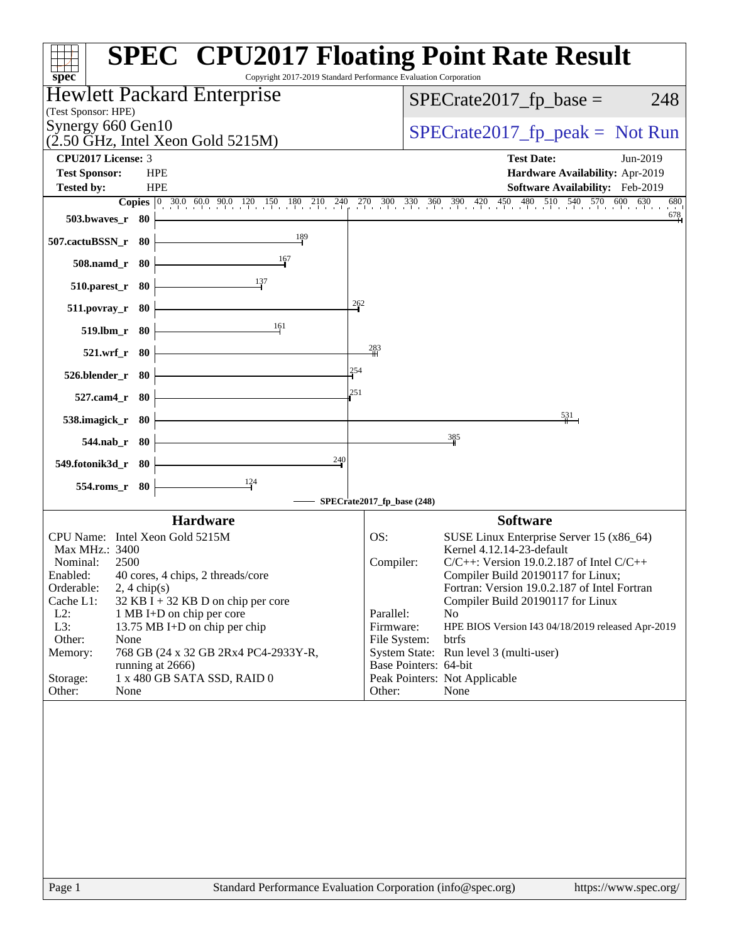| <b>SPEC<sup>®</sup> CPU2017 Floating Point Rate Result</b><br>Copyright 2017-2019 Standard Performance Evaluation Corporation<br>$spec^*$ |                                                                                    |
|-------------------------------------------------------------------------------------------------------------------------------------------|------------------------------------------------------------------------------------|
| Hewlett Packard Enterprise                                                                                                                | $SPECrate2017_fp\_base =$<br>248                                                   |
| (Test Sponsor: HPE)                                                                                                                       |                                                                                    |
| Synergy 660 Gen10<br>$(2.50 \text{ GHz}, \text{Intel Xeon Gold } 5215 \text{M})$                                                          | $SPECrate2017rfp peak = Not Run$                                                   |
| <b>CPU2017 License: 3</b>                                                                                                                 | <b>Test Date:</b><br>Jun-2019                                                      |
| <b>Test Sponsor:</b><br><b>HPE</b>                                                                                                        | Hardware Availability: Apr-2019                                                    |
| <b>HPE</b><br><b>Tested by:</b>                                                                                                           | Software Availability: Feb-2019<br>600 630<br>680                                  |
| <b>Copies</b> $\begin{bmatrix} 0 & 30.0 & 60.0 & 90.0 & 120 & 150 & 180 & 210 & 240 \end{bmatrix}$<br>$503.bwaves_r$ 80                   | 270 300 330 360 390 420 450 480 510 540 570 600 63<br>678                          |
| 189<br>507.cactuBSSN_r 80                                                                                                                 |                                                                                    |
| 167<br>508.namd_r 80                                                                                                                      |                                                                                    |
| $510.parest_r$ 80                                                                                                                         |                                                                                    |
| 262<br>$511. povray_r$ 80                                                                                                                 |                                                                                    |
| 161<br>519.lbm_r 80                                                                                                                       |                                                                                    |
| 283<br>521.wrf_r 80<br>254                                                                                                                |                                                                                    |
| 526.blender_r 80<br>251                                                                                                                   |                                                                                    |
| 527.cam4_r 80<br>538.imagick_r 80                                                                                                         | 531                                                                                |
| 544.nab_r 80                                                                                                                              | 385                                                                                |
| 240<br>549.fotonik3d_r 80                                                                                                                 |                                                                                    |
| $\frac{124}{ }$<br>554.roms_r 80                                                                                                          |                                                                                    |
| SPECrate2017_fp_base (248)                                                                                                                |                                                                                    |
| <b>Hardware</b>                                                                                                                           | <b>Software</b>                                                                    |
| CPU Name: Intel Xeon Gold 5215M<br>OS:                                                                                                    | SUSE Linux Enterprise Server 15 (x86_64)                                           |
| Max MHz.: 3400                                                                                                                            | Kernel 4.12.14-23-default                                                          |
| Nominal:<br>2500                                                                                                                          | $C/C++$ : Version 19.0.2.187 of Intel $C/C++$<br>Compiler:                         |
| 40 cores, 4 chips, 2 threads/core<br>Enabled:<br>Orderable:<br>$2, 4 \text{ chip}(s)$                                                     | Compiler Build 20190117 for Linux;<br>Fortran: Version 19.0.2.187 of Intel Fortran |
| Cache L1:<br>32 KB I + 32 KB D on chip per core                                                                                           | Compiler Build 20190117 for Linux                                                  |
| $L2$ :<br>1 MB I+D on chip per core                                                                                                       | Parallel:<br>No                                                                    |
| L3:<br>13.75 MB I+D on chip per chip                                                                                                      | Firmware:<br>HPE BIOS Version I43 04/18/2019 released Apr-2019                     |
| Other:<br>None<br>768 GB (24 x 32 GB 2Rx4 PC4-2933Y-R,<br>Memory:                                                                         | File System:<br>btrfs<br>System State: Run level 3 (multi-user)                    |
| running at 2666)                                                                                                                          | Base Pointers: 64-bit                                                              |
| 1 x 480 GB SATA SSD, RAID 0<br>Storage:                                                                                                   | Peak Pointers: Not Applicable                                                      |
| Other:<br>None                                                                                                                            | Other:<br>None                                                                     |
|                                                                                                                                           |                                                                                    |
| Standard Performance Evaluation Corporation (info@spec.org)<br>Page 1                                                                     | https://www.spec.org/                                                              |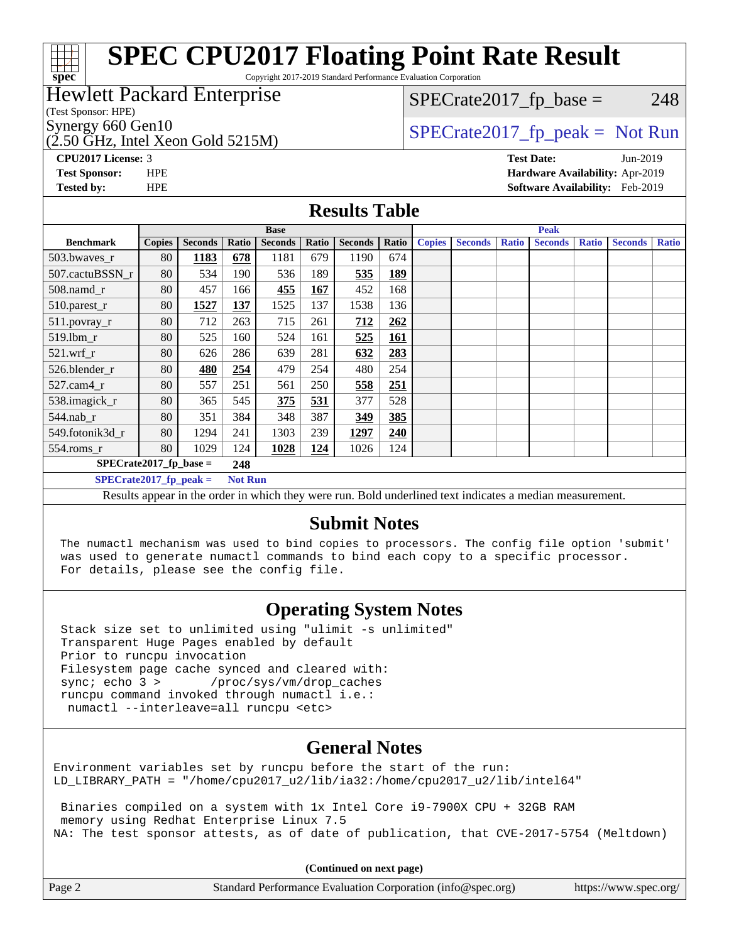#### **[spec](http://www.spec.org/) [SPEC CPU2017 Floating Point Rate Result](http://www.spec.org/auto/cpu2017/Docs/result-fields.html#SPECCPU2017FloatingPointRateResult)** Copyright 2017-2019 Standard Performance Evaluation Corporation (Test Sponsor: HPE) Hewlett Packard Enterprise  $(2.50 \text{ GHz}$ , Intel Xeon Gold 5215M) Synergy 660 Gen10  $S^{perg}$  [SPECrate2017\\_fp\\_peak =](http://www.spec.org/auto/cpu2017/Docs/result-fields.html#SPECrate2017fppeak) Not Run  $SPECTate2017<sub>fp</sub> base = 248$ **[CPU2017 License:](http://www.spec.org/auto/cpu2017/Docs/result-fields.html#CPU2017License)** 3 **[Test Date:](http://www.spec.org/auto/cpu2017/Docs/result-fields.html#TestDate)** Jun-2019 **[Test Sponsor:](http://www.spec.org/auto/cpu2017/Docs/result-fields.html#TestSponsor)** HPE **[Hardware Availability:](http://www.spec.org/auto/cpu2017/Docs/result-fields.html#HardwareAvailability)** Apr-2019 **[Tested by:](http://www.spec.org/auto/cpu2017/Docs/result-fields.html#Testedby)** HPE **[Software Availability:](http://www.spec.org/auto/cpu2017/Docs/result-fields.html#SoftwareAvailability)** Feb-2019 **[Results Table](http://www.spec.org/auto/cpu2017/Docs/result-fields.html#ResultsTable) [Benchmark](http://www.spec.org/auto/cpu2017/Docs/result-fields.html#Benchmark) [Copies](http://www.spec.org/auto/cpu2017/Docs/result-fields.html#Copies) [Seconds](http://www.spec.org/auto/cpu2017/Docs/result-fields.html#Seconds) [Ratio](http://www.spec.org/auto/cpu2017/Docs/result-fields.html#Ratio) [Seconds](http://www.spec.org/auto/cpu2017/Docs/result-fields.html#Seconds) [Ratio](http://www.spec.org/auto/cpu2017/Docs/result-fields.html#Ratio) [Seconds](http://www.spec.org/auto/cpu2017/Docs/result-fields.html#Seconds) [Ratio](http://www.spec.org/auto/cpu2017/Docs/result-fields.html#Ratio) Base [Copies](http://www.spec.org/auto/cpu2017/Docs/result-fields.html#Copies) [Seconds](http://www.spec.org/auto/cpu2017/Docs/result-fields.html#Seconds) [Ratio](http://www.spec.org/auto/cpu2017/Docs/result-fields.html#Ratio) [Seconds](http://www.spec.org/auto/cpu2017/Docs/result-fields.html#Seconds) [Ratio](http://www.spec.org/auto/cpu2017/Docs/result-fields.html#Ratio) [Seconds](http://www.spec.org/auto/cpu2017/Docs/result-fields.html#Seconds) [Ratio](http://www.spec.org/auto/cpu2017/Docs/result-fields.html#Ratio) Peak** [503.bwaves\\_r](http://www.spec.org/auto/cpu2017/Docs/benchmarks/503.bwaves_r.html) 80 **[1183](http://www.spec.org/auto/cpu2017/Docs/result-fields.html#Median) [678](http://www.spec.org/auto/cpu2017/Docs/result-fields.html#Median)** 1181 679 1190 674 [507.cactuBSSN\\_r](http://www.spec.org/auto/cpu2017/Docs/benchmarks/507.cactuBSSN_r.html) 80 534 190 536 189 **[535](http://www.spec.org/auto/cpu2017/Docs/result-fields.html#Median) [189](http://www.spec.org/auto/cpu2017/Docs/result-fields.html#Median)** [508.namd\\_r](http://www.spec.org/auto/cpu2017/Docs/benchmarks/508.namd_r.html) 80 457 166 **[455](http://www.spec.org/auto/cpu2017/Docs/result-fields.html#Median) [167](http://www.spec.org/auto/cpu2017/Docs/result-fields.html#Median)** 452 168 [510.parest\\_r](http://www.spec.org/auto/cpu2017/Docs/benchmarks/510.parest_r.html) 80 **[1527](http://www.spec.org/auto/cpu2017/Docs/result-fields.html#Median) [137](http://www.spec.org/auto/cpu2017/Docs/result-fields.html#Median)** 1525 137 1538 136 [511.povray\\_r](http://www.spec.org/auto/cpu2017/Docs/benchmarks/511.povray_r.html) 80 712 263 715 261 **[712](http://www.spec.org/auto/cpu2017/Docs/result-fields.html#Median) [262](http://www.spec.org/auto/cpu2017/Docs/result-fields.html#Median)** [519.lbm\\_r](http://www.spec.org/auto/cpu2017/Docs/benchmarks/519.lbm_r.html) 80 525 160 524 161 **[525](http://www.spec.org/auto/cpu2017/Docs/result-fields.html#Median) [161](http://www.spec.org/auto/cpu2017/Docs/result-fields.html#Median)** [521.wrf\\_r](http://www.spec.org/auto/cpu2017/Docs/benchmarks/521.wrf_r.html) 80 626 286 639 281 **[632](http://www.spec.org/auto/cpu2017/Docs/result-fields.html#Median) [283](http://www.spec.org/auto/cpu2017/Docs/result-fields.html#Median)**

#### **[Submit Notes](http://www.spec.org/auto/cpu2017/Docs/result-fields.html#SubmitNotes)**

Results appear in the [order in which they were run](http://www.spec.org/auto/cpu2017/Docs/result-fields.html#RunOrder). Bold underlined text [indicates a median measurement](http://www.spec.org/auto/cpu2017/Docs/result-fields.html#Median).

 The numactl mechanism was used to bind copies to processors. The config file option 'submit' was used to generate numactl commands to bind each copy to a specific processor. For details, please see the config file.

#### **[Operating System Notes](http://www.spec.org/auto/cpu2017/Docs/result-fields.html#OperatingSystemNotes)**

 Stack size set to unlimited using "ulimit -s unlimited" Transparent Huge Pages enabled by default Prior to runcpu invocation Filesystem page cache synced and cleared with:<br>sync: echo 3 > /proc/sys/vm/drop caches /proc/sys/vm/drop\_caches runcpu command invoked through numactl i.e.: numactl --interleave=all runcpu <etc>

[526.blender\\_r](http://www.spec.org/auto/cpu2017/Docs/benchmarks/526.blender_r.html) 80 **[480](http://www.spec.org/auto/cpu2017/Docs/result-fields.html#Median) [254](http://www.spec.org/auto/cpu2017/Docs/result-fields.html#Median)** 479 254 480 254 [527.cam4\\_r](http://www.spec.org/auto/cpu2017/Docs/benchmarks/527.cam4_r.html) 80 557 251 561 250 **[558](http://www.spec.org/auto/cpu2017/Docs/result-fields.html#Median) [251](http://www.spec.org/auto/cpu2017/Docs/result-fields.html#Median)** [538.imagick\\_r](http://www.spec.org/auto/cpu2017/Docs/benchmarks/538.imagick_r.html) 80 365 545 **[375](http://www.spec.org/auto/cpu2017/Docs/result-fields.html#Median) [531](http://www.spec.org/auto/cpu2017/Docs/result-fields.html#Median)** 377 528 [544.nab\\_r](http://www.spec.org/auto/cpu2017/Docs/benchmarks/544.nab_r.html) 80 351 384 348 387 **[349](http://www.spec.org/auto/cpu2017/Docs/result-fields.html#Median) [385](http://www.spec.org/auto/cpu2017/Docs/result-fields.html#Median)** [549.fotonik3d\\_r](http://www.spec.org/auto/cpu2017/Docs/benchmarks/549.fotonik3d_r.html) 80 1294 241 1303 239 **[1297](http://www.spec.org/auto/cpu2017/Docs/result-fields.html#Median) [240](http://www.spec.org/auto/cpu2017/Docs/result-fields.html#Median)** [554.roms\\_r](http://www.spec.org/auto/cpu2017/Docs/benchmarks/554.roms_r.html) 80 1029 124 **[1028](http://www.spec.org/auto/cpu2017/Docs/result-fields.html#Median) [124](http://www.spec.org/auto/cpu2017/Docs/result-fields.html#Median)** 1026 124

> **[SPECrate2017\\_fp\\_base =](http://www.spec.org/auto/cpu2017/Docs/result-fields.html#SPECrate2017fpbase) 248 [SPECrate2017\\_fp\\_peak =](http://www.spec.org/auto/cpu2017/Docs/result-fields.html#SPECrate2017fppeak) Not Run**

#### **[General Notes](http://www.spec.org/auto/cpu2017/Docs/result-fields.html#GeneralNotes)**

Environment variables set by runcpu before the start of the run: LD LIBRARY PATH = "/home/cpu2017 u2/lib/ia32:/home/cpu2017 u2/lib/intel64"

 Binaries compiled on a system with 1x Intel Core i9-7900X CPU + 32GB RAM memory using Redhat Enterprise Linux 7.5 NA: The test sponsor attests, as of date of publication, that CVE-2017-5754 (Meltdown)

**(Continued on next page)**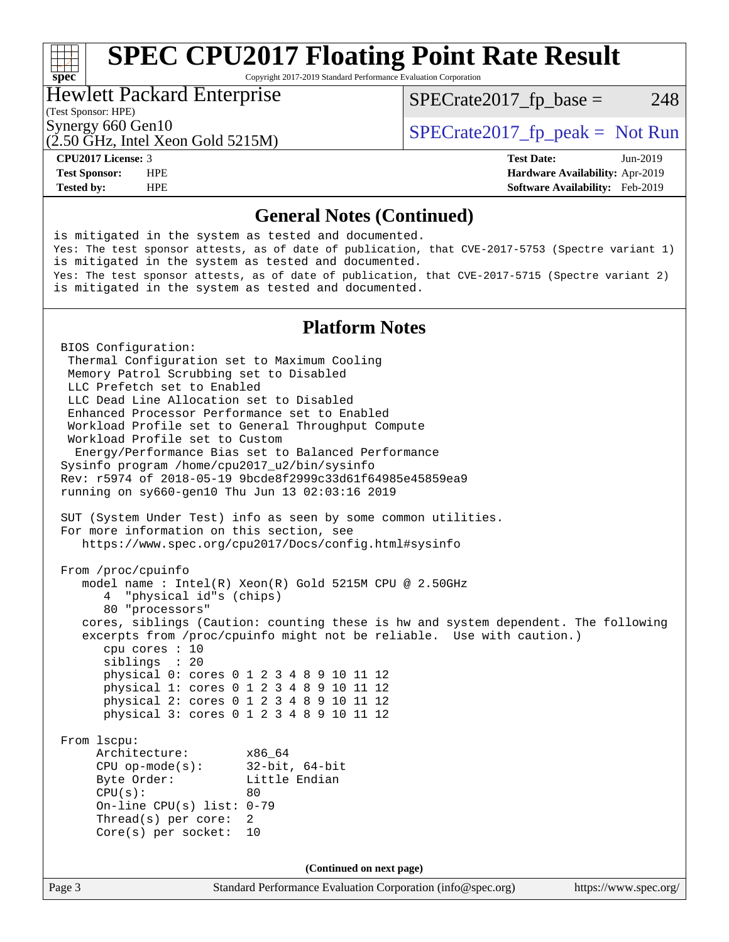## **[SPEC CPU2017 Floating Point Rate Result](http://www.spec.org/auto/cpu2017/Docs/result-fields.html#SPECCPU2017FloatingPointRateResult)**

Copyright 2017-2019 Standard Performance Evaluation Corporation

#### Hewlett Packard Enterprise

 $SPECTate2017<sub>fr</sub> base = 248$ 

(Test Sponsor: HPE)

**[spec](http://www.spec.org/)**<sup>®</sup>

Synergy 660 Gen10<br>  $SPECrate2017$  fp\_peak = Not Run

### (2.50 GHz, Intel Xeon Gold 5215M)

**[Tested by:](http://www.spec.org/auto/cpu2017/Docs/result-fields.html#Testedby)** HPE **[Software Availability:](http://www.spec.org/auto/cpu2017/Docs/result-fields.html#SoftwareAvailability)** Feb-2019

**[CPU2017 License:](http://www.spec.org/auto/cpu2017/Docs/result-fields.html#CPU2017License)** 3 **[Test Date:](http://www.spec.org/auto/cpu2017/Docs/result-fields.html#TestDate)** Jun-2019 **[Test Sponsor:](http://www.spec.org/auto/cpu2017/Docs/result-fields.html#TestSponsor)** HPE **[Hardware Availability:](http://www.spec.org/auto/cpu2017/Docs/result-fields.html#HardwareAvailability)** Apr-2019

#### **[General Notes \(Continued\)](http://www.spec.org/auto/cpu2017/Docs/result-fields.html#GeneralNotes)**

Page 3 Standard Performance Evaluation Corporation [\(info@spec.org\)](mailto:info@spec.org) <https://www.spec.org/> is mitigated in the system as tested and documented. Yes: The test sponsor attests, as of date of publication, that CVE-2017-5753 (Spectre variant 1) is mitigated in the system as tested and documented. Yes: The test sponsor attests, as of date of publication, that CVE-2017-5715 (Spectre variant 2) is mitigated in the system as tested and documented. **[Platform Notes](http://www.spec.org/auto/cpu2017/Docs/result-fields.html#PlatformNotes)** BIOS Configuration: Thermal Configuration set to Maximum Cooling Memory Patrol Scrubbing set to Disabled LLC Prefetch set to Enabled LLC Dead Line Allocation set to Disabled Enhanced Processor Performance set to Enabled Workload Profile set to General Throughput Compute Workload Profile set to Custom Energy/Performance Bias set to Balanced Performance Sysinfo program /home/cpu2017\_u2/bin/sysinfo Rev: r5974 of 2018-05-19 9bcde8f2999c33d61f64985e45859ea9 running on sy660-gen10 Thu Jun 13 02:03:16 2019 SUT (System Under Test) info as seen by some common utilities. For more information on this section, see <https://www.spec.org/cpu2017/Docs/config.html#sysinfo> From /proc/cpuinfo model name : Intel(R) Xeon(R) Gold 5215M CPU @ 2.50GHz 4 "physical id"s (chips) 80 "processors" cores, siblings (Caution: counting these is hw and system dependent. The following excerpts from /proc/cpuinfo might not be reliable. Use with caution.) cpu cores : 10 siblings : 20 physical 0: cores 0 1 2 3 4 8 9 10 11 12 physical 1: cores 0 1 2 3 4 8 9 10 11 12 physical 2: cores 0 1 2 3 4 8 9 10 11 12 physical 3: cores 0 1 2 3 4 8 9 10 11 12 From lscpu: Architecture: x86\_64 CPU op-mode(s): 32-bit, 64-bit Byte Order: Little Endian  $CPU(s):$  80 On-line CPU(s) list: 0-79 Thread(s) per core: 2 Core(s) per socket: 10 **(Continued on next page)**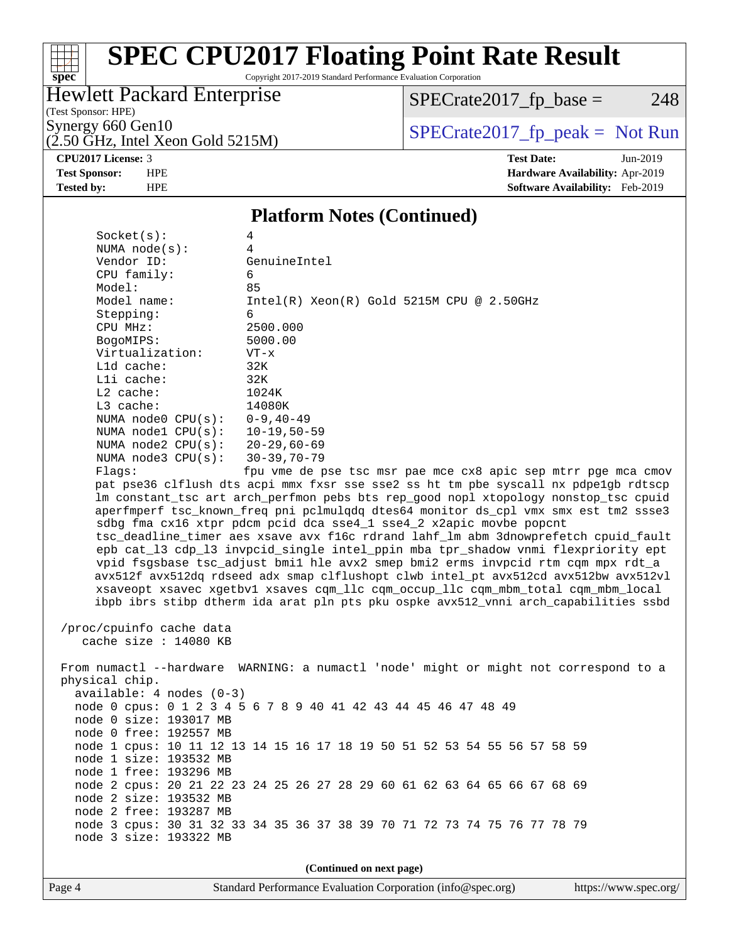# **[spec](http://www.spec.org/)**

## **[SPEC CPU2017 Floating Point Rate Result](http://www.spec.org/auto/cpu2017/Docs/result-fields.html#SPECCPU2017FloatingPointRateResult)**

Copyright 2017-2019 Standard Performance Evaluation Corporation

### Hewlett Packard Enterprise

 $SPECrate2017_fp\_base = 248$ 

(Test Sponsor: HPE)

 $(2.50 \text{ GHz}, \text{Intel Xeon Gold } 5215 \text{M})$ 

Synergy 660 Gen10<br>  $\begin{array}{c|c}\n\text{Specrate2017\_fp\_peak} = \text{Not Run} \\
\hline\n\text{Specrate2017\_fp\_peak} = \text{Not Run}\n\end{array}$ 

**[CPU2017 License:](http://www.spec.org/auto/cpu2017/Docs/result-fields.html#CPU2017License)** 3 **[Test Date:](http://www.spec.org/auto/cpu2017/Docs/result-fields.html#TestDate)** Jun-2019 **[Test Sponsor:](http://www.spec.org/auto/cpu2017/Docs/result-fields.html#TestSponsor)** HPE **[Hardware Availability:](http://www.spec.org/auto/cpu2017/Docs/result-fields.html#HardwareAvailability)** Apr-2019 **[Tested by:](http://www.spec.org/auto/cpu2017/Docs/result-fields.html#Testedby)** HPE **[Software Availability:](http://www.spec.org/auto/cpu2017/Docs/result-fields.html#SoftwareAvailability)** Feb-2019

#### **[Platform Notes \(Continued\)](http://www.spec.org/auto/cpu2017/Docs/result-fields.html#PlatformNotes)**

| Socket(s):                                                                           | 4                                                                                    |  |  |  |
|--------------------------------------------------------------------------------------|--------------------------------------------------------------------------------------|--|--|--|
| NUMA $node(s):$                                                                      | 4                                                                                    |  |  |  |
| Vendor ID:                                                                           | GenuineIntel                                                                         |  |  |  |
| CPU family:                                                                          | 6                                                                                    |  |  |  |
| Model:                                                                               | 85                                                                                   |  |  |  |
| Model name:                                                                          | $Intel(R) Xeon(R) Gold 5215M CPU @ 2.50GHz$                                          |  |  |  |
| Stepping:                                                                            | 6                                                                                    |  |  |  |
| CPU MHz:                                                                             | 2500.000                                                                             |  |  |  |
| BogoMIPS:                                                                            | 5000.00                                                                              |  |  |  |
| Virtualization:                                                                      | $VT - x$                                                                             |  |  |  |
| L1d cache:                                                                           | 32K                                                                                  |  |  |  |
| Lli cache:                                                                           | 32K                                                                                  |  |  |  |
| L2 cache:                                                                            | 1024K                                                                                |  |  |  |
| L3 cache:                                                                            | 14080K                                                                               |  |  |  |
| NUMA node0 CPU(s):                                                                   | $0 - 9, 40 - 49$                                                                     |  |  |  |
| NUMA nodel CPU(s):                                                                   | $10 - 19,50 - 59$                                                                    |  |  |  |
| NUMA $node2$ $CPU(s):$                                                               | $20 - 29,60 - 69$                                                                    |  |  |  |
| NUMA $node3$ CPU $(s)$ :                                                             | $30 - 39, 70 - 79$                                                                   |  |  |  |
| Flags:                                                                               | fpu vme de pse tsc msr pae mce cx8 apic sep mtrr pge mca cmov                        |  |  |  |
|                                                                                      | pat pse36 clflush dts acpi mmx fxsr sse sse2 ss ht tm pbe syscall nx pdpelgb rdtscp  |  |  |  |
|                                                                                      | lm constant_tsc art arch_perfmon pebs bts rep_good nopl xtopology nonstop_tsc cpuid  |  |  |  |
|                                                                                      | aperfmperf tsc_known_freq pni pclmulqdq dtes64 monitor ds_cpl vmx smx est tm2 ssse3  |  |  |  |
|                                                                                      | sdbg fma cx16 xtpr pdcm pcid dca sse4_1 sse4_2 x2apic movbe popcnt                   |  |  |  |
|                                                                                      | tsc_deadline_timer aes xsave avx f16c rdrand lahf_lm abm 3dnowprefetch cpuid_fault   |  |  |  |
|                                                                                      | epb cat_13 cdp_13 invpcid_single intel_ppin mba tpr_shadow vnmi flexpriority ept     |  |  |  |
|                                                                                      | vpid fsgsbase tsc_adjust bmil hle avx2 smep bmi2 erms invpcid rtm cqm mpx rdt_a      |  |  |  |
| avx512f avx512dq rdseed adx smap clflushopt clwb intel_pt avx512cd avx512bw avx512vl |                                                                                      |  |  |  |
| xsaveopt xsavec xgetbvl xsaves cqm_llc cqm_occup_llc cqm_mbm_total cqm_mbm_local     |                                                                                      |  |  |  |
|                                                                                      | ibpb ibrs stibp dtherm ida arat pln pts pku ospke avx512_vnni arch_capabilities ssbd |  |  |  |
|                                                                                      |                                                                                      |  |  |  |
| /proc/cpuinfo cache data                                                             |                                                                                      |  |  |  |
| cache size : 14080 KB                                                                |                                                                                      |  |  |  |
|                                                                                      |                                                                                      |  |  |  |
|                                                                                      | From numactl --hardware WARNING: a numactl 'node' might or might not correspond to a |  |  |  |
| physical chip.                                                                       |                                                                                      |  |  |  |
| $available: 4 nodes (0-3)$                                                           |                                                                                      |  |  |  |
|                                                                                      | node 0 cpus: 0 1 2 3 4 5 6 7 8 9 40 41 42 43 44 45 46 47 48 49                       |  |  |  |
| node 0 size: 193017 MB                                                               |                                                                                      |  |  |  |
| node 0 free: 192557 MB                                                               |                                                                                      |  |  |  |
|                                                                                      | node 1 cpus: 10 11 12 13 14 15 16 17 18 19 50 51 52 53 54 55 56 57 58 59             |  |  |  |
| node 1 size: 193532 MB                                                               |                                                                                      |  |  |  |
| node 1 free: 193296 MB                                                               |                                                                                      |  |  |  |
|                                                                                      | node 2 cpus: 20 21 22 23 24 25 26 27 28 29 60 61 62 63 64 65 66 67 68 69             |  |  |  |
| node 2 size: 193532 MB                                                               |                                                                                      |  |  |  |
| node 2 free: 193287 MB                                                               |                                                                                      |  |  |  |
|                                                                                      | node 3 cpus: 30 31 32 33 34 35 36 37 38 39 70 71 72 73 74 75 76 77 78 79             |  |  |  |
| node 3 size: 193322 MB                                                               |                                                                                      |  |  |  |
|                                                                                      |                                                                                      |  |  |  |
|                                                                                      |                                                                                      |  |  |  |

**(Continued on next page)**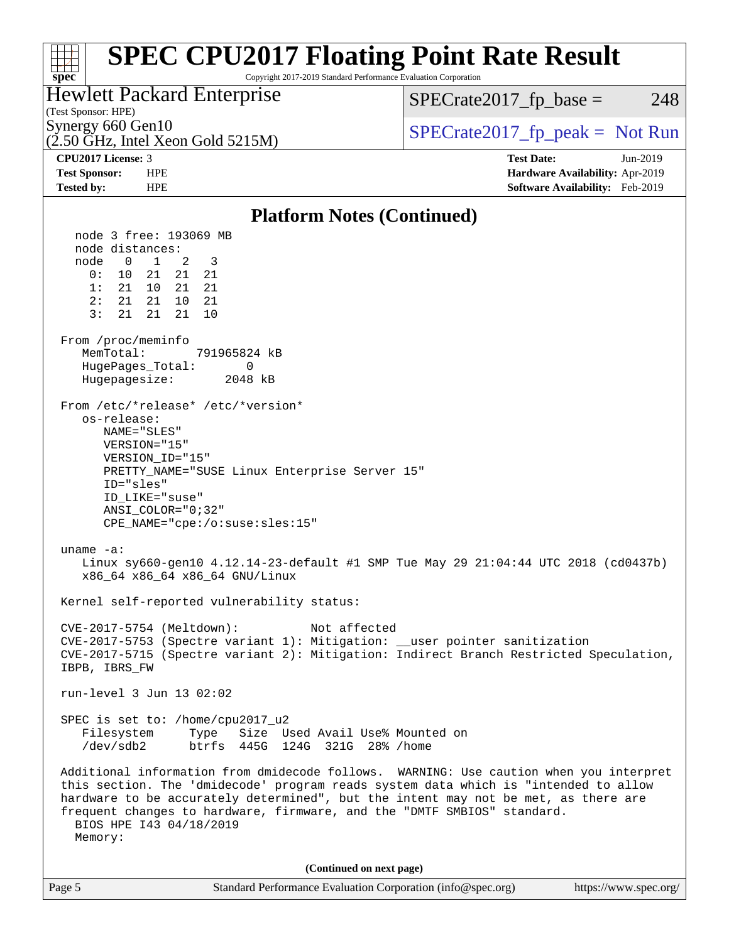| <b>SPEC CPU2017 Floating Point Rate Result</b><br>Copyright 2017-2019 Standard Performance Evaluation Corporation<br>$spec^*$                                                                                                                                                                                                                                                                                                                                                                                                                                                                                                                                                                                                                                                                                                                                                                                                                                                                                                                                                                                                                                                                                                                                                                                                                                                                                  |                                                                    |  |  |  |  |
|----------------------------------------------------------------------------------------------------------------------------------------------------------------------------------------------------------------------------------------------------------------------------------------------------------------------------------------------------------------------------------------------------------------------------------------------------------------------------------------------------------------------------------------------------------------------------------------------------------------------------------------------------------------------------------------------------------------------------------------------------------------------------------------------------------------------------------------------------------------------------------------------------------------------------------------------------------------------------------------------------------------------------------------------------------------------------------------------------------------------------------------------------------------------------------------------------------------------------------------------------------------------------------------------------------------------------------------------------------------------------------------------------------------|--------------------------------------------------------------------|--|--|--|--|
| <b>Hewlett Packard Enterprise</b><br>(Test Sponsor: HPE)                                                                                                                                                                                                                                                                                                                                                                                                                                                                                                                                                                                                                                                                                                                                                                                                                                                                                                                                                                                                                                                                                                                                                                                                                                                                                                                                                       | $SPECrate2017fp base =$<br>248                                     |  |  |  |  |
| Synergy 660 Gen10<br>$(2.50 \text{ GHz}, \text{Intel Xeon Gold } 5215 \text{M})$                                                                                                                                                                                                                                                                                                                                                                                                                                                                                                                                                                                                                                                                                                                                                                                                                                                                                                                                                                                                                                                                                                                                                                                                                                                                                                                               | $SPECTate2017$ fp peak = Not Run                                   |  |  |  |  |
| CPU2017 License: 3                                                                                                                                                                                                                                                                                                                                                                                                                                                                                                                                                                                                                                                                                                                                                                                                                                                                                                                                                                                                                                                                                                                                                                                                                                                                                                                                                                                             | <b>Test Date:</b><br>Jun-2019                                      |  |  |  |  |
| <b>Test Sponsor:</b><br><b>HPE</b><br><b>HPE</b><br><b>Tested by:</b>                                                                                                                                                                                                                                                                                                                                                                                                                                                                                                                                                                                                                                                                                                                                                                                                                                                                                                                                                                                                                                                                                                                                                                                                                                                                                                                                          | Hardware Availability: Apr-2019<br>Software Availability: Feb-2019 |  |  |  |  |
|                                                                                                                                                                                                                                                                                                                                                                                                                                                                                                                                                                                                                                                                                                                                                                                                                                                                                                                                                                                                                                                                                                                                                                                                                                                                                                                                                                                                                |                                                                    |  |  |  |  |
| <b>Platform Notes (Continued)</b><br>node 3 free: 193069 MB<br>node distances:<br>node<br>$\overline{0}$<br>$\overline{1}$<br>2<br>3<br>0:<br>10<br>21<br>21<br>21<br>1:<br>21<br>10<br>21<br>21<br>2:<br>21<br>21<br>10<br>21<br>3:<br>21<br>21<br>21<br>10<br>From /proc/meminfo<br>MemTotal:<br>791965824 kB<br>HugePages_Total:<br>0<br>2048 kB<br>Hugepagesize:<br>From /etc/*release* /etc/*version*<br>os-release:<br>NAME="SLES"<br>VERSION="15"<br>VERSION_ID="15"<br>PRETTY_NAME="SUSE Linux Enterprise Server 15"<br>ID="sles"<br>ID LIKE="suse"<br>$ANSI\_COLOR = "0; 32"$<br>CPE_NAME="cpe:/o:suse:sles:15"<br>uname $-a$ :<br>Linux sy660-gen10 4.12.14-23-default #1 SMP Tue May 29 21:04:44 UTC 2018 (cd0437b)<br>x86_64 x86_64 x86_64 GNU/Linux<br>Kernel self-reported vulnerability status:<br>CVE-2017-5754 (Meltdown):<br>Not affected<br>CVE-2017-5753 (Spectre variant 1): Mitigation: __user pointer sanitization<br>CVE-2017-5715 (Spectre variant 2): Mitigation: Indirect Branch Restricted Speculation,<br>IBPB, IBRS_FW<br>run-level 3 Jun 13 02:02<br>SPEC is set to: /home/cpu2017_u2<br>Filesystem<br>Type<br>Size Used Avail Use% Mounted on<br>/dev/sdb2<br>btrfs 445G 124G 321G 28% / home<br>Additional information from dmidecode follows. WARNING: Use caution when you interpret<br>this section. The 'dmidecode' program reads system data which is "intended to allow |                                                                    |  |  |  |  |
| (Continued on next page)                                                                                                                                                                                                                                                                                                                                                                                                                                                                                                                                                                                                                                                                                                                                                                                                                                                                                                                                                                                                                                                                                                                                                                                                                                                                                                                                                                                       |                                                                    |  |  |  |  |
| Page 5<br>Standard Performance Evaluation Corporation (info@spec.org)                                                                                                                                                                                                                                                                                                                                                                                                                                                                                                                                                                                                                                                                                                                                                                                                                                                                                                                                                                                                                                                                                                                                                                                                                                                                                                                                          | https://www.spec.org/                                              |  |  |  |  |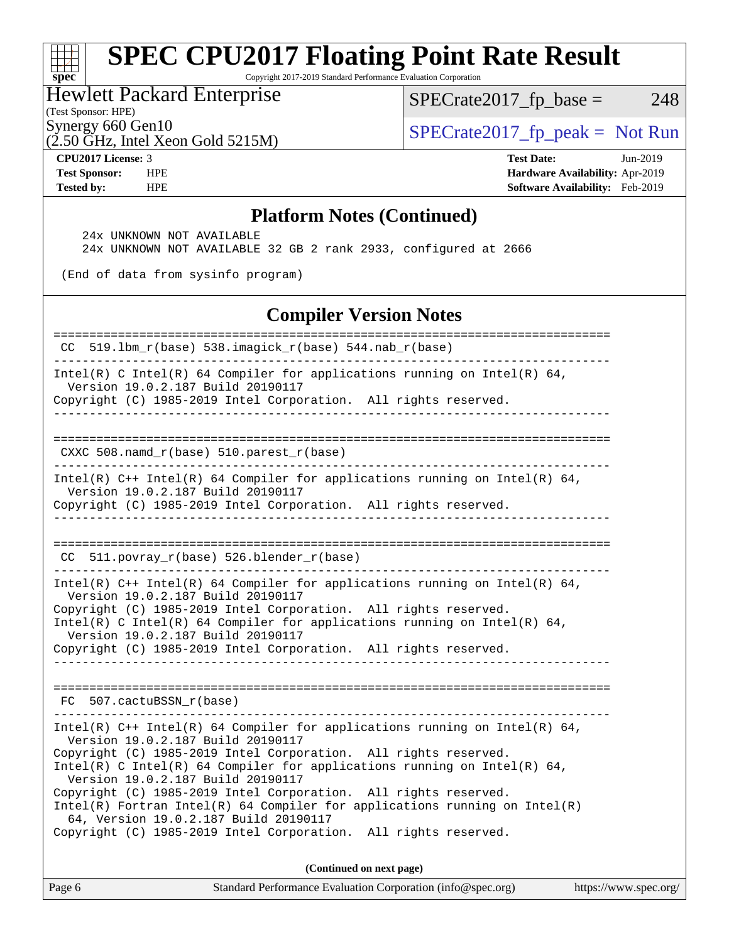## **[SPEC CPU2017 Floating Point Rate Result](http://www.spec.org/auto/cpu2017/Docs/result-fields.html#SPECCPU2017FloatingPointRateResult)**

Copyright 2017-2019 Standard Performance Evaluation Corporation

Hewlett Packard Enterprise

 $SPECTate2017_fp\_base = 248$ 

(Test Sponsor: HPE)

(2.50 GHz, Intel Xeon Gold 5215M)

Synergy 660 Gen10<br>  $SPECrate2017_fp\_peak = Not Run$ 

**[spec](http://www.spec.org/)**

 $\pm$ 

**[CPU2017 License:](http://www.spec.org/auto/cpu2017/Docs/result-fields.html#CPU2017License)** 3 **[Test Date:](http://www.spec.org/auto/cpu2017/Docs/result-fields.html#TestDate)** Jun-2019 **[Test Sponsor:](http://www.spec.org/auto/cpu2017/Docs/result-fields.html#TestSponsor)** HPE **[Hardware Availability:](http://www.spec.org/auto/cpu2017/Docs/result-fields.html#HardwareAvailability)** Apr-2019 **[Tested by:](http://www.spec.org/auto/cpu2017/Docs/result-fields.html#Testedby)** HPE **[Software Availability:](http://www.spec.org/auto/cpu2017/Docs/result-fields.html#SoftwareAvailability)** Feb-2019

#### **[Platform Notes \(Continued\)](http://www.spec.org/auto/cpu2017/Docs/result-fields.html#PlatformNotes)**

24x UNKNOWN NOT AVAILABLE

24x UNKNOWN NOT AVAILABLE 32 GB 2 rank 2933, configured at 2666

(End of data from sysinfo program)

#### **[Compiler Version Notes](http://www.spec.org/auto/cpu2017/Docs/result-fields.html#CompilerVersionNotes)**

| ==================================<br>CC 519.1bm_r(base) 538.imagick_r(base) 544.nab_r(base)                                                                                                                                                                                                                                                                                                                                                                                                                                                                         |  |  |  |  |  |
|----------------------------------------------------------------------------------------------------------------------------------------------------------------------------------------------------------------------------------------------------------------------------------------------------------------------------------------------------------------------------------------------------------------------------------------------------------------------------------------------------------------------------------------------------------------------|--|--|--|--|--|
| Intel(R) C Intel(R) 64 Compiler for applications running on Intel(R) 64,<br>Version 19.0.2.187 Build 20190117<br>Copyright (C) 1985-2019 Intel Corporation. All rights reserved.<br>----------------------------------                                                                                                                                                                                                                                                                                                                                               |  |  |  |  |  |
| CXXC 508.namd_r(base) 510.parest_r(base)                                                                                                                                                                                                                                                                                                                                                                                                                                                                                                                             |  |  |  |  |  |
| Intel(R) $C++$ Intel(R) 64 Compiler for applications running on Intel(R) 64,<br>Version 19.0.2.187 Build 20190117<br>Copyright (C) 1985-2019 Intel Corporation. All rights reserved.<br>__________________________________                                                                                                                                                                                                                                                                                                                                           |  |  |  |  |  |
| $CC$ 511.povray $r(base)$ 526.blender $r(base)$                                                                                                                                                                                                                                                                                                                                                                                                                                                                                                                      |  |  |  |  |  |
| Intel(R) $C++$ Intel(R) 64 Compiler for applications running on Intel(R) 64,<br>Version 19.0.2.187 Build 20190117<br>Copyright (C) 1985-2019 Intel Corporation. All rights reserved.<br>Intel(R) C Intel(R) 64 Compiler for applications running on Intel(R) 64,<br>Version 19.0.2.187 Build 20190117<br>Copyright (C) 1985-2019 Intel Corporation. All rights reserved.<br>_____________________________                                                                                                                                                            |  |  |  |  |  |
| FC 507.cactuBSSN r(base)                                                                                                                                                                                                                                                                                                                                                                                                                                                                                                                                             |  |  |  |  |  |
| Intel(R) $C++$ Intel(R) 64 Compiler for applications running on Intel(R) 64,<br>Version 19.0.2.187 Build 20190117<br>Copyright (C) 1985-2019 Intel Corporation. All rights reserved.<br>Intel(R) C Intel(R) 64 Compiler for applications running on Intel(R) 64,<br>Version 19.0.2.187 Build 20190117<br>Copyright (C) 1985-2019 Intel Corporation. All rights reserved.<br>$Intel(R)$ Fortran Intel(R) 64 Compiler for applications running on Intel(R)<br>64, Version 19.0.2.187 Build 20190117<br>Copyright (C) 1985-2019 Intel Corporation. All rights reserved. |  |  |  |  |  |
| (Continued on next page)                                                                                                                                                                                                                                                                                                                                                                                                                                                                                                                                             |  |  |  |  |  |

Page 6 Standard Performance Evaluation Corporation [\(info@spec.org\)](mailto:info@spec.org) <https://www.spec.org/>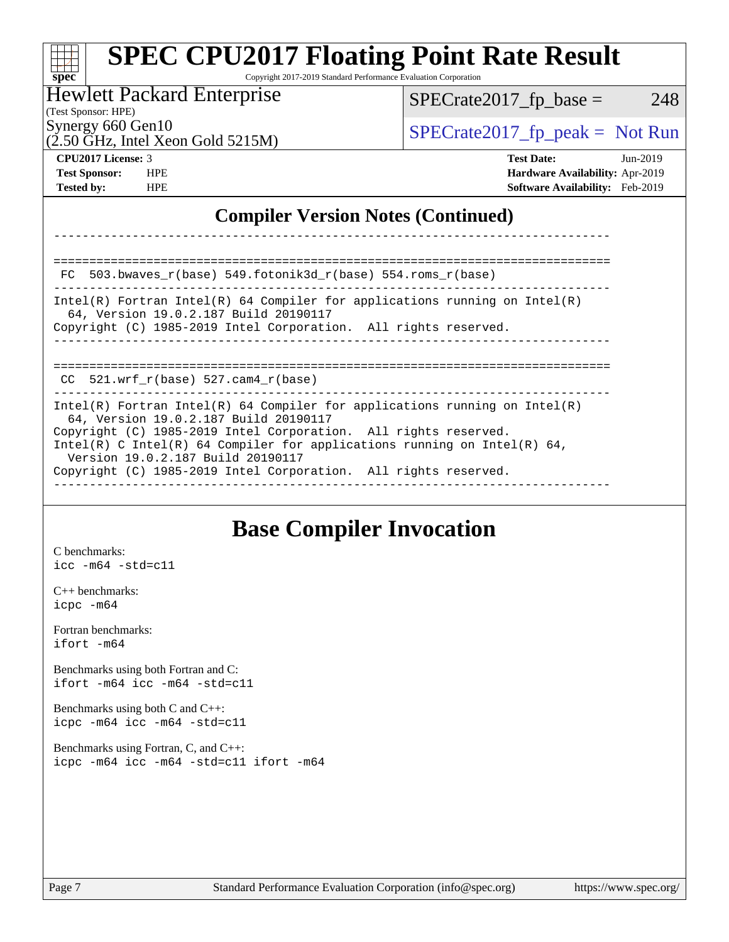| <b>SPEC CPU2017 Floating Point Rate Result</b><br>Copyright 2017-2019 Standard Performance Evaluation Corporation<br>$SDec^*$                                                                             |                                  |  |  |  |  |
|-----------------------------------------------------------------------------------------------------------------------------------------------------------------------------------------------------------|----------------------------------|--|--|--|--|
| <b>Hewlett Packard Enterprise</b>                                                                                                                                                                         | 248<br>$SPECrate2017fr base =$   |  |  |  |  |
| (Test Sponsor: HPE)<br>Synergy 660 Gen10<br>$(2.50 \text{ GHz}, \text{Intel Xeon Gold } 5215 \text{M})$                                                                                                   | $SPECTate2017$ fp peak = Not Run |  |  |  |  |
| CPU <sub>2017</sub> License: 3<br><b>Test Date:</b><br><b>Test Sponsor:</b><br><b>HPE</b><br>Hardware Availability: Apr-2019<br><b>Tested by:</b><br><b>Software Availability:</b> Feb-2019<br><b>HPE</b> |                                  |  |  |  |  |
| <b>Compiler Version Notes (Continued)</b>                                                                                                                                                                 |                                  |  |  |  |  |
|                                                                                                                                                                                                           |                                  |  |  |  |  |
| 503.bwaves_r(base) 549.fotonik3d_r(base) 554.roms_r(base)<br>FC.                                                                                                                                          |                                  |  |  |  |  |
| $Intel(R)$ Fortran Intel(R) 64 Compiler for applications running on Intel(R)<br>64, Version 19.0.2.187 Build 20190117<br>Copyright (C) 1985-2019 Intel Corporation. All rights reserved.                  |                                  |  |  |  |  |
| $CC$ 521.wrf_r(base) 527.cam4_r(base)                                                                                                                                                                     |                                  |  |  |  |  |
|                                                                                                                                                                                                           |                                  |  |  |  |  |

## **[Base Compiler Invocation](http://www.spec.org/auto/cpu2017/Docs/result-fields.html#BaseCompilerInvocation)**

[C benchmarks](http://www.spec.org/auto/cpu2017/Docs/result-fields.html#Cbenchmarks): [icc -m64 -std=c11](http://www.spec.org/cpu2017/results/res2019q3/cpu2017-20190625-15808.flags.html#user_CCbase_intel_icc_64bit_c11_33ee0cdaae7deeeab2a9725423ba97205ce30f63b9926c2519791662299b76a0318f32ddfffdc46587804de3178b4f9328c46fa7c2b0cd779d7a61945c91cd35)

[C++ benchmarks:](http://www.spec.org/auto/cpu2017/Docs/result-fields.html#CXXbenchmarks) [icpc -m64](http://www.spec.org/cpu2017/results/res2019q3/cpu2017-20190625-15808.flags.html#user_CXXbase_intel_icpc_64bit_4ecb2543ae3f1412ef961e0650ca070fec7b7afdcd6ed48761b84423119d1bf6bdf5cad15b44d48e7256388bc77273b966e5eb805aefd121eb22e9299b2ec9d9)

[Fortran benchmarks](http://www.spec.org/auto/cpu2017/Docs/result-fields.html#Fortranbenchmarks): [ifort -m64](http://www.spec.org/cpu2017/results/res2019q3/cpu2017-20190625-15808.flags.html#user_FCbase_intel_ifort_64bit_24f2bb282fbaeffd6157abe4f878425411749daecae9a33200eee2bee2fe76f3b89351d69a8130dd5949958ce389cf37ff59a95e7a40d588e8d3a57e0c3fd751)

[Benchmarks using both Fortran and C](http://www.spec.org/auto/cpu2017/Docs/result-fields.html#BenchmarksusingbothFortranandC): [ifort -m64](http://www.spec.org/cpu2017/results/res2019q3/cpu2017-20190625-15808.flags.html#user_CC_FCbase_intel_ifort_64bit_24f2bb282fbaeffd6157abe4f878425411749daecae9a33200eee2bee2fe76f3b89351d69a8130dd5949958ce389cf37ff59a95e7a40d588e8d3a57e0c3fd751) [icc -m64 -std=c11](http://www.spec.org/cpu2017/results/res2019q3/cpu2017-20190625-15808.flags.html#user_CC_FCbase_intel_icc_64bit_c11_33ee0cdaae7deeeab2a9725423ba97205ce30f63b9926c2519791662299b76a0318f32ddfffdc46587804de3178b4f9328c46fa7c2b0cd779d7a61945c91cd35)

[Benchmarks using both C and C++](http://www.spec.org/auto/cpu2017/Docs/result-fields.html#BenchmarksusingbothCandCXX): [icpc -m64](http://www.spec.org/cpu2017/results/res2019q3/cpu2017-20190625-15808.flags.html#user_CC_CXXbase_intel_icpc_64bit_4ecb2543ae3f1412ef961e0650ca070fec7b7afdcd6ed48761b84423119d1bf6bdf5cad15b44d48e7256388bc77273b966e5eb805aefd121eb22e9299b2ec9d9) [icc -m64 -std=c11](http://www.spec.org/cpu2017/results/res2019q3/cpu2017-20190625-15808.flags.html#user_CC_CXXbase_intel_icc_64bit_c11_33ee0cdaae7deeeab2a9725423ba97205ce30f63b9926c2519791662299b76a0318f32ddfffdc46587804de3178b4f9328c46fa7c2b0cd779d7a61945c91cd35)

[Benchmarks using Fortran, C, and C++:](http://www.spec.org/auto/cpu2017/Docs/result-fields.html#BenchmarksusingFortranCandCXX) [icpc -m64](http://www.spec.org/cpu2017/results/res2019q3/cpu2017-20190625-15808.flags.html#user_CC_CXX_FCbase_intel_icpc_64bit_4ecb2543ae3f1412ef961e0650ca070fec7b7afdcd6ed48761b84423119d1bf6bdf5cad15b44d48e7256388bc77273b966e5eb805aefd121eb22e9299b2ec9d9) [icc -m64 -std=c11](http://www.spec.org/cpu2017/results/res2019q3/cpu2017-20190625-15808.flags.html#user_CC_CXX_FCbase_intel_icc_64bit_c11_33ee0cdaae7deeeab2a9725423ba97205ce30f63b9926c2519791662299b76a0318f32ddfffdc46587804de3178b4f9328c46fa7c2b0cd779d7a61945c91cd35) [ifort -m64](http://www.spec.org/cpu2017/results/res2019q3/cpu2017-20190625-15808.flags.html#user_CC_CXX_FCbase_intel_ifort_64bit_24f2bb282fbaeffd6157abe4f878425411749daecae9a33200eee2bee2fe76f3b89351d69a8130dd5949958ce389cf37ff59a95e7a40d588e8d3a57e0c3fd751)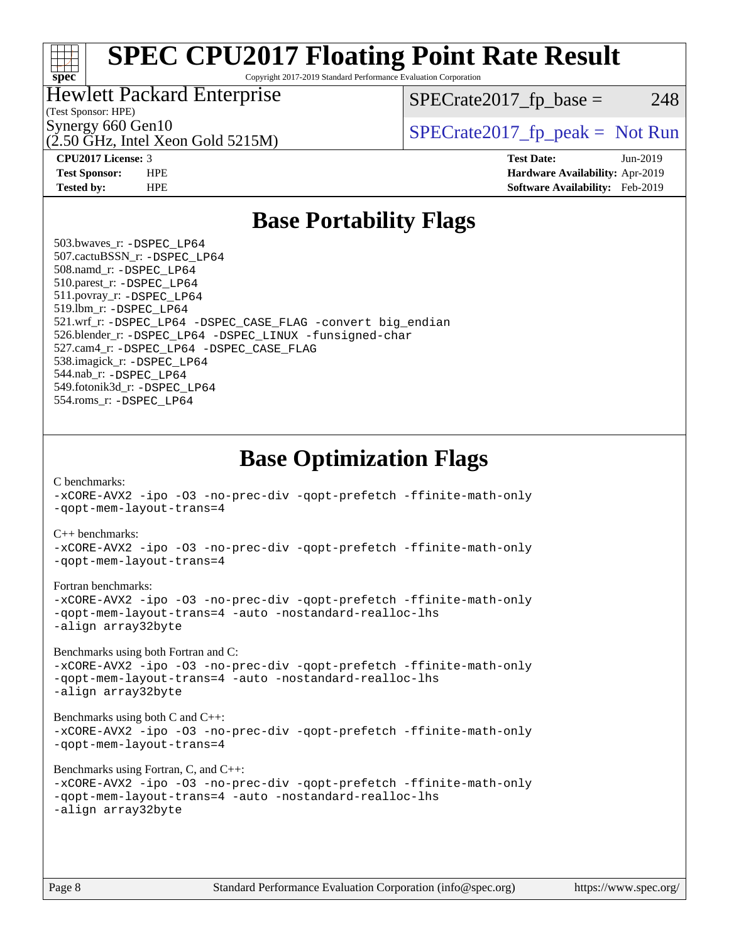#### H F [spec](http://www.spec.org/)<sup>\*</sup>

## **[SPEC CPU2017 Floating Point Rate Result](http://www.spec.org/auto/cpu2017/Docs/result-fields.html#SPECCPU2017FloatingPointRateResult)**

Copyright 2017-2019 Standard Performance Evaluation Corporation

#### Hewlett Packard Enterprise

 $SPECTate2017<sub>fr</sub> base = 248$ 

### (Test Sponsor: HPE)

(2.50 GHz, Intel Xeon Gold 5215M)

Synergy 660 Gen10<br>  $SPECrate2017$  fp\_peak = Not Run

**[CPU2017 License:](http://www.spec.org/auto/cpu2017/Docs/result-fields.html#CPU2017License)** 3 **[Test Date:](http://www.spec.org/auto/cpu2017/Docs/result-fields.html#TestDate)** Jun-2019 **[Test Sponsor:](http://www.spec.org/auto/cpu2017/Docs/result-fields.html#TestSponsor)** HPE **[Hardware Availability:](http://www.spec.org/auto/cpu2017/Docs/result-fields.html#HardwareAvailability)** Apr-2019 **[Tested by:](http://www.spec.org/auto/cpu2017/Docs/result-fields.html#Testedby)** HPE **[Software Availability:](http://www.spec.org/auto/cpu2017/Docs/result-fields.html#SoftwareAvailability)** Feb-2019

### **[Base Portability Flags](http://www.spec.org/auto/cpu2017/Docs/result-fields.html#BasePortabilityFlags)**

 503.bwaves\_r: [-DSPEC\\_LP64](http://www.spec.org/cpu2017/results/res2019q3/cpu2017-20190625-15808.flags.html#suite_basePORTABILITY503_bwaves_r_DSPEC_LP64) 507.cactuBSSN\_r: [-DSPEC\\_LP64](http://www.spec.org/cpu2017/results/res2019q3/cpu2017-20190625-15808.flags.html#suite_basePORTABILITY507_cactuBSSN_r_DSPEC_LP64) 508.namd\_r: [-DSPEC\\_LP64](http://www.spec.org/cpu2017/results/res2019q3/cpu2017-20190625-15808.flags.html#suite_basePORTABILITY508_namd_r_DSPEC_LP64) 510.parest\_r: [-DSPEC\\_LP64](http://www.spec.org/cpu2017/results/res2019q3/cpu2017-20190625-15808.flags.html#suite_basePORTABILITY510_parest_r_DSPEC_LP64) 511.povray\_r: [-DSPEC\\_LP64](http://www.spec.org/cpu2017/results/res2019q3/cpu2017-20190625-15808.flags.html#suite_basePORTABILITY511_povray_r_DSPEC_LP64) 519.lbm\_r: [-DSPEC\\_LP64](http://www.spec.org/cpu2017/results/res2019q3/cpu2017-20190625-15808.flags.html#suite_basePORTABILITY519_lbm_r_DSPEC_LP64) 521.wrf\_r: [-DSPEC\\_LP64](http://www.spec.org/cpu2017/results/res2019q3/cpu2017-20190625-15808.flags.html#suite_basePORTABILITY521_wrf_r_DSPEC_LP64) [-DSPEC\\_CASE\\_FLAG](http://www.spec.org/cpu2017/results/res2019q3/cpu2017-20190625-15808.flags.html#b521.wrf_r_baseCPORTABILITY_DSPEC_CASE_FLAG) [-convert big\\_endian](http://www.spec.org/cpu2017/results/res2019q3/cpu2017-20190625-15808.flags.html#user_baseFPORTABILITY521_wrf_r_convert_big_endian_c3194028bc08c63ac5d04de18c48ce6d347e4e562e8892b8bdbdc0214820426deb8554edfa529a3fb25a586e65a3d812c835984020483e7e73212c4d31a38223) 526.blender\_r: [-DSPEC\\_LP64](http://www.spec.org/cpu2017/results/res2019q3/cpu2017-20190625-15808.flags.html#suite_basePORTABILITY526_blender_r_DSPEC_LP64) [-DSPEC\\_LINUX](http://www.spec.org/cpu2017/results/res2019q3/cpu2017-20190625-15808.flags.html#b526.blender_r_baseCPORTABILITY_DSPEC_LINUX) [-funsigned-char](http://www.spec.org/cpu2017/results/res2019q3/cpu2017-20190625-15808.flags.html#user_baseCPORTABILITY526_blender_r_force_uchar_40c60f00ab013830e2dd6774aeded3ff59883ba5a1fc5fc14077f794d777847726e2a5858cbc7672e36e1b067e7e5c1d9a74f7176df07886a243d7cc18edfe67) 527.cam4\_r: [-DSPEC\\_LP64](http://www.spec.org/cpu2017/results/res2019q3/cpu2017-20190625-15808.flags.html#suite_basePORTABILITY527_cam4_r_DSPEC_LP64) [-DSPEC\\_CASE\\_FLAG](http://www.spec.org/cpu2017/results/res2019q3/cpu2017-20190625-15808.flags.html#b527.cam4_r_baseCPORTABILITY_DSPEC_CASE_FLAG) 538.imagick\_r: [-DSPEC\\_LP64](http://www.spec.org/cpu2017/results/res2019q3/cpu2017-20190625-15808.flags.html#suite_basePORTABILITY538_imagick_r_DSPEC_LP64) 544.nab\_r: [-DSPEC\\_LP64](http://www.spec.org/cpu2017/results/res2019q3/cpu2017-20190625-15808.flags.html#suite_basePORTABILITY544_nab_r_DSPEC_LP64) 549.fotonik3d\_r: [-DSPEC\\_LP64](http://www.spec.org/cpu2017/results/res2019q3/cpu2017-20190625-15808.flags.html#suite_basePORTABILITY549_fotonik3d_r_DSPEC_LP64) 554.roms\_r: [-DSPEC\\_LP64](http://www.spec.org/cpu2017/results/res2019q3/cpu2017-20190625-15808.flags.html#suite_basePORTABILITY554_roms_r_DSPEC_LP64)

**[Base Optimization Flags](http://www.spec.org/auto/cpu2017/Docs/result-fields.html#BaseOptimizationFlags)**

[C benchmarks](http://www.spec.org/auto/cpu2017/Docs/result-fields.html#Cbenchmarks):

[-xCORE-AVX2](http://www.spec.org/cpu2017/results/res2019q3/cpu2017-20190625-15808.flags.html#user_CCbase_f-xCORE-AVX2) [-ipo](http://www.spec.org/cpu2017/results/res2019q3/cpu2017-20190625-15808.flags.html#user_CCbase_f-ipo) [-O3](http://www.spec.org/cpu2017/results/res2019q3/cpu2017-20190625-15808.flags.html#user_CCbase_f-O3) [-no-prec-div](http://www.spec.org/cpu2017/results/res2019q3/cpu2017-20190625-15808.flags.html#user_CCbase_f-no-prec-div) [-qopt-prefetch](http://www.spec.org/cpu2017/results/res2019q3/cpu2017-20190625-15808.flags.html#user_CCbase_f-qopt-prefetch) [-ffinite-math-only](http://www.spec.org/cpu2017/results/res2019q3/cpu2017-20190625-15808.flags.html#user_CCbase_f_finite_math_only_cb91587bd2077682c4b38af759c288ed7c732db004271a9512da14a4f8007909a5f1427ecbf1a0fb78ff2a814402c6114ac565ca162485bbcae155b5e4258871) [-qopt-mem-layout-trans=4](http://www.spec.org/cpu2017/results/res2019q3/cpu2017-20190625-15808.flags.html#user_CCbase_f-qopt-mem-layout-trans_fa39e755916c150a61361b7846f310bcdf6f04e385ef281cadf3647acec3f0ae266d1a1d22d972a7087a248fd4e6ca390a3634700869573d231a252c784941a8) [C++ benchmarks:](http://www.spec.org/auto/cpu2017/Docs/result-fields.html#CXXbenchmarks) [-xCORE-AVX2](http://www.spec.org/cpu2017/results/res2019q3/cpu2017-20190625-15808.flags.html#user_CXXbase_f-xCORE-AVX2) [-ipo](http://www.spec.org/cpu2017/results/res2019q3/cpu2017-20190625-15808.flags.html#user_CXXbase_f-ipo) [-O3](http://www.spec.org/cpu2017/results/res2019q3/cpu2017-20190625-15808.flags.html#user_CXXbase_f-O3) [-no-prec-div](http://www.spec.org/cpu2017/results/res2019q3/cpu2017-20190625-15808.flags.html#user_CXXbase_f-no-prec-div) [-qopt-prefetch](http://www.spec.org/cpu2017/results/res2019q3/cpu2017-20190625-15808.flags.html#user_CXXbase_f-qopt-prefetch) [-ffinite-math-only](http://www.spec.org/cpu2017/results/res2019q3/cpu2017-20190625-15808.flags.html#user_CXXbase_f_finite_math_only_cb91587bd2077682c4b38af759c288ed7c732db004271a9512da14a4f8007909a5f1427ecbf1a0fb78ff2a814402c6114ac565ca162485bbcae155b5e4258871) [-qopt-mem-layout-trans=4](http://www.spec.org/cpu2017/results/res2019q3/cpu2017-20190625-15808.flags.html#user_CXXbase_f-qopt-mem-layout-trans_fa39e755916c150a61361b7846f310bcdf6f04e385ef281cadf3647acec3f0ae266d1a1d22d972a7087a248fd4e6ca390a3634700869573d231a252c784941a8) [Fortran benchmarks](http://www.spec.org/auto/cpu2017/Docs/result-fields.html#Fortranbenchmarks): [-xCORE-AVX2](http://www.spec.org/cpu2017/results/res2019q3/cpu2017-20190625-15808.flags.html#user_FCbase_f-xCORE-AVX2) [-ipo](http://www.spec.org/cpu2017/results/res2019q3/cpu2017-20190625-15808.flags.html#user_FCbase_f-ipo) [-O3](http://www.spec.org/cpu2017/results/res2019q3/cpu2017-20190625-15808.flags.html#user_FCbase_f-O3) [-no-prec-div](http://www.spec.org/cpu2017/results/res2019q3/cpu2017-20190625-15808.flags.html#user_FCbase_f-no-prec-div) [-qopt-prefetch](http://www.spec.org/cpu2017/results/res2019q3/cpu2017-20190625-15808.flags.html#user_FCbase_f-qopt-prefetch) [-ffinite-math-only](http://www.spec.org/cpu2017/results/res2019q3/cpu2017-20190625-15808.flags.html#user_FCbase_f_finite_math_only_cb91587bd2077682c4b38af759c288ed7c732db004271a9512da14a4f8007909a5f1427ecbf1a0fb78ff2a814402c6114ac565ca162485bbcae155b5e4258871) [-qopt-mem-layout-trans=4](http://www.spec.org/cpu2017/results/res2019q3/cpu2017-20190625-15808.flags.html#user_FCbase_f-qopt-mem-layout-trans_fa39e755916c150a61361b7846f310bcdf6f04e385ef281cadf3647acec3f0ae266d1a1d22d972a7087a248fd4e6ca390a3634700869573d231a252c784941a8) [-auto](http://www.spec.org/cpu2017/results/res2019q3/cpu2017-20190625-15808.flags.html#user_FCbase_f-auto) [-nostandard-realloc-lhs](http://www.spec.org/cpu2017/results/res2019q3/cpu2017-20190625-15808.flags.html#user_FCbase_f_2003_std_realloc_82b4557e90729c0f113870c07e44d33d6f5a304b4f63d4c15d2d0f1fab99f5daaed73bdb9275d9ae411527f28b936061aa8b9c8f2d63842963b95c9dd6426b8a) [-align array32byte](http://www.spec.org/cpu2017/results/res2019q3/cpu2017-20190625-15808.flags.html#user_FCbase_align_array32byte_b982fe038af199962ba9a80c053b8342c548c85b40b8e86eb3cc33dee0d7986a4af373ac2d51c3f7cf710a18d62fdce2948f201cd044323541f22fc0fffc51b6) [Benchmarks using both Fortran and C](http://www.spec.org/auto/cpu2017/Docs/result-fields.html#BenchmarksusingbothFortranandC): [-xCORE-AVX2](http://www.spec.org/cpu2017/results/res2019q3/cpu2017-20190625-15808.flags.html#user_CC_FCbase_f-xCORE-AVX2) [-ipo](http://www.spec.org/cpu2017/results/res2019q3/cpu2017-20190625-15808.flags.html#user_CC_FCbase_f-ipo) [-O3](http://www.spec.org/cpu2017/results/res2019q3/cpu2017-20190625-15808.flags.html#user_CC_FCbase_f-O3) [-no-prec-div](http://www.spec.org/cpu2017/results/res2019q3/cpu2017-20190625-15808.flags.html#user_CC_FCbase_f-no-prec-div) [-qopt-prefetch](http://www.spec.org/cpu2017/results/res2019q3/cpu2017-20190625-15808.flags.html#user_CC_FCbase_f-qopt-prefetch) [-ffinite-math-only](http://www.spec.org/cpu2017/results/res2019q3/cpu2017-20190625-15808.flags.html#user_CC_FCbase_f_finite_math_only_cb91587bd2077682c4b38af759c288ed7c732db004271a9512da14a4f8007909a5f1427ecbf1a0fb78ff2a814402c6114ac565ca162485bbcae155b5e4258871) [-qopt-mem-layout-trans=4](http://www.spec.org/cpu2017/results/res2019q3/cpu2017-20190625-15808.flags.html#user_CC_FCbase_f-qopt-mem-layout-trans_fa39e755916c150a61361b7846f310bcdf6f04e385ef281cadf3647acec3f0ae266d1a1d22d972a7087a248fd4e6ca390a3634700869573d231a252c784941a8) [-auto](http://www.spec.org/cpu2017/results/res2019q3/cpu2017-20190625-15808.flags.html#user_CC_FCbase_f-auto) [-nostandard-realloc-lhs](http://www.spec.org/cpu2017/results/res2019q3/cpu2017-20190625-15808.flags.html#user_CC_FCbase_f_2003_std_realloc_82b4557e90729c0f113870c07e44d33d6f5a304b4f63d4c15d2d0f1fab99f5daaed73bdb9275d9ae411527f28b936061aa8b9c8f2d63842963b95c9dd6426b8a) [-align array32byte](http://www.spec.org/cpu2017/results/res2019q3/cpu2017-20190625-15808.flags.html#user_CC_FCbase_align_array32byte_b982fe038af199962ba9a80c053b8342c548c85b40b8e86eb3cc33dee0d7986a4af373ac2d51c3f7cf710a18d62fdce2948f201cd044323541f22fc0fffc51b6) [Benchmarks using both C and C++](http://www.spec.org/auto/cpu2017/Docs/result-fields.html#BenchmarksusingbothCandCXX): [-xCORE-AVX2](http://www.spec.org/cpu2017/results/res2019q3/cpu2017-20190625-15808.flags.html#user_CC_CXXbase_f-xCORE-AVX2) [-ipo](http://www.spec.org/cpu2017/results/res2019q3/cpu2017-20190625-15808.flags.html#user_CC_CXXbase_f-ipo) [-O3](http://www.spec.org/cpu2017/results/res2019q3/cpu2017-20190625-15808.flags.html#user_CC_CXXbase_f-O3) [-no-prec-div](http://www.spec.org/cpu2017/results/res2019q3/cpu2017-20190625-15808.flags.html#user_CC_CXXbase_f-no-prec-div) [-qopt-prefetch](http://www.spec.org/cpu2017/results/res2019q3/cpu2017-20190625-15808.flags.html#user_CC_CXXbase_f-qopt-prefetch) [-ffinite-math-only](http://www.spec.org/cpu2017/results/res2019q3/cpu2017-20190625-15808.flags.html#user_CC_CXXbase_f_finite_math_only_cb91587bd2077682c4b38af759c288ed7c732db004271a9512da14a4f8007909a5f1427ecbf1a0fb78ff2a814402c6114ac565ca162485bbcae155b5e4258871) [-qopt-mem-layout-trans=4](http://www.spec.org/cpu2017/results/res2019q3/cpu2017-20190625-15808.flags.html#user_CC_CXXbase_f-qopt-mem-layout-trans_fa39e755916c150a61361b7846f310bcdf6f04e385ef281cadf3647acec3f0ae266d1a1d22d972a7087a248fd4e6ca390a3634700869573d231a252c784941a8) [Benchmarks using Fortran, C, and C++:](http://www.spec.org/auto/cpu2017/Docs/result-fields.html#BenchmarksusingFortranCandCXX) [-xCORE-AVX2](http://www.spec.org/cpu2017/results/res2019q3/cpu2017-20190625-15808.flags.html#user_CC_CXX_FCbase_f-xCORE-AVX2) [-ipo](http://www.spec.org/cpu2017/results/res2019q3/cpu2017-20190625-15808.flags.html#user_CC_CXX_FCbase_f-ipo) [-O3](http://www.spec.org/cpu2017/results/res2019q3/cpu2017-20190625-15808.flags.html#user_CC_CXX_FCbase_f-O3) [-no-prec-div](http://www.spec.org/cpu2017/results/res2019q3/cpu2017-20190625-15808.flags.html#user_CC_CXX_FCbase_f-no-prec-div) [-qopt-prefetch](http://www.spec.org/cpu2017/results/res2019q3/cpu2017-20190625-15808.flags.html#user_CC_CXX_FCbase_f-qopt-prefetch) [-ffinite-math-only](http://www.spec.org/cpu2017/results/res2019q3/cpu2017-20190625-15808.flags.html#user_CC_CXX_FCbase_f_finite_math_only_cb91587bd2077682c4b38af759c288ed7c732db004271a9512da14a4f8007909a5f1427ecbf1a0fb78ff2a814402c6114ac565ca162485bbcae155b5e4258871) [-qopt-mem-layout-trans=4](http://www.spec.org/cpu2017/results/res2019q3/cpu2017-20190625-15808.flags.html#user_CC_CXX_FCbase_f-qopt-mem-layout-trans_fa39e755916c150a61361b7846f310bcdf6f04e385ef281cadf3647acec3f0ae266d1a1d22d972a7087a248fd4e6ca390a3634700869573d231a252c784941a8) [-auto](http://www.spec.org/cpu2017/results/res2019q3/cpu2017-20190625-15808.flags.html#user_CC_CXX_FCbase_f-auto) [-nostandard-realloc-lhs](http://www.spec.org/cpu2017/results/res2019q3/cpu2017-20190625-15808.flags.html#user_CC_CXX_FCbase_f_2003_std_realloc_82b4557e90729c0f113870c07e44d33d6f5a304b4f63d4c15d2d0f1fab99f5daaed73bdb9275d9ae411527f28b936061aa8b9c8f2d63842963b95c9dd6426b8a) [-align array32byte](http://www.spec.org/cpu2017/results/res2019q3/cpu2017-20190625-15808.flags.html#user_CC_CXX_FCbase_align_array32byte_b982fe038af199962ba9a80c053b8342c548c85b40b8e86eb3cc33dee0d7986a4af373ac2d51c3f7cf710a18d62fdce2948f201cd044323541f22fc0fffc51b6)